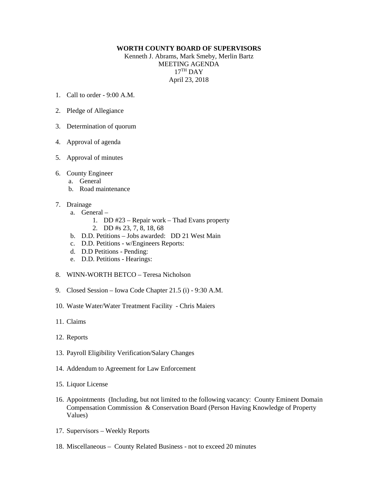## **WORTH COUNTY BOARD OF SUPERVISORS**

Kenneth J. Abrams, Mark Smeby, Merlin Bartz MEETING AGENDA  $17<sup>TH</sup>$  DAY April 23, 2018

- 1. Call to order 9:00 A.M.
- 2. Pledge of Allegiance
- 3. Determination of quorum
- 4. Approval of agenda
- 5. Approval of minutes
- 6. County Engineer
	- a. General
	- b. Road maintenance
- 7. Drainage
	- a. General
		- 1. DD #23 Repair work Thad Evans property
			- 2. DD #s 23, 7, 8, 18, 68
	- b. D.D. Petitions Jobs awarded: DD 21 West Main
	- c. D.D. Petitions w/Engineers Reports:
	- d. D.D Petitions Pending:
	- e. D.D. Petitions Hearings:
- 8. WINN-WORTH BETCO Teresa Nicholson
- 9. Closed Session Iowa Code Chapter 21.5 (i) 9:30 A.M.
- 10. Waste Water/Water Treatment Facility Chris Maiers
- 11. Claims
- 12. Reports
- 13. Payroll Eligibility Verification/Salary Changes
- 14. Addendum to Agreement for Law Enforcement
- 15. Liquor License
- 16. Appointments (Including, but not limited to the following vacancy: County Eminent Domain Compensation Commission & Conservation Board (Person Having Knowledge of Property Values)
- 17. Supervisors Weekly Reports
- 18. Miscellaneous County Related Business not to exceed 20 minutes